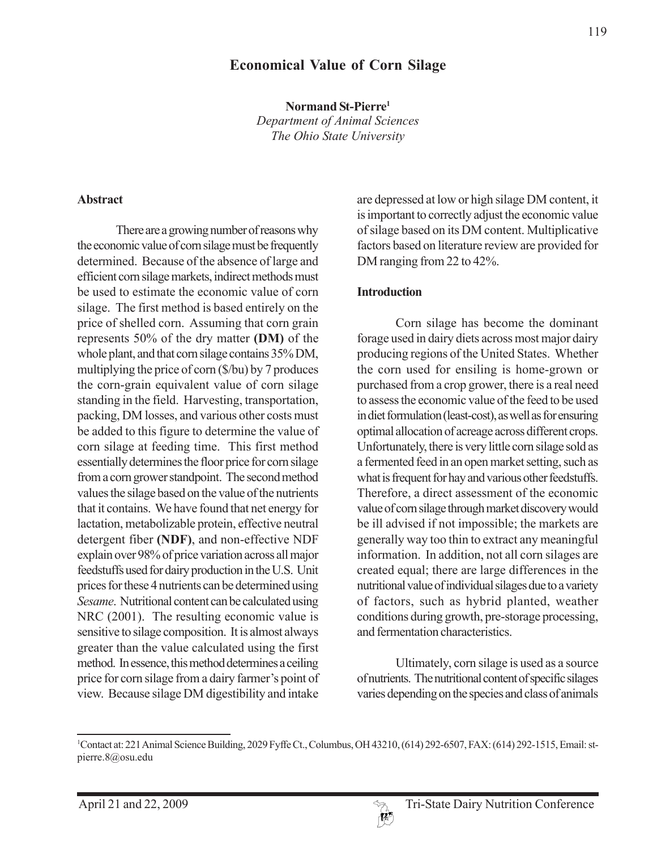# **Economical Value of Corn Silage**

**Normand St-Pierre1** *Department of Animal Sciences The Ohio State University*

There are a growing number of reasons why the economic value of corn silage must be frequently determined. Because of the absence of large and efficient corn silage markets, indirect methods must be used to estimate the economic value of corn silage. The first method is based entirely on the price of shelled corn. Assuming that corn grain represents 50% of the dry matter **(DM)** of the whole plant, and that corn silage contains 35% DM, multiplying the price of corn (\$/bu) by 7 produces the corn-grain equivalent value of corn silage standing in the field. Harvesting, transportation, packing, DM losses, and various other costs must be added to this figure to determine the value of corn silage at feeding time. This first method essentially determines the floor price for corn silage from a corn grower standpoint. The second method values the silage based on the value of the nutrients that it contains. We have found that net energy for lactation, metabolizable protein, effective neutral detergent fiber **(NDF)**, and non-effective NDF explain over 98% of price variation across all major feedstuffs used for dairy production in the U.S. Unit prices for these 4 nutrients can be determined using *Sesame*. Nutritional content can be calculated using NRC (2001). The resulting economic value is sensitive to silage composition. It is almost always greater than the value calculated using the first method. In essence, this method determines a ceiling price for corn silage from a dairy farmer's point of view. Because silage DM digestibility and intake

are depressed at low or high silage DM content, it is important to correctly adjust the economic value of silage based on its DM content. Multiplicative factors based on literature review are provided for DM ranging from 22 to 42%.

#### **Introduction**

Corn silage has become the dominant forage used in dairy diets across most major dairy producing regions of the United States. Whether the corn used for ensiling is home-grown or purchased from a crop grower, there is a real need to assess the economic value of the feed to be used in diet formulation (least-cost), as well as for ensuring optimal allocation of acreage across different crops. Unfortunately, there is very little corn silage sold as a fermented feed in an open market setting, such as what is frequent for hay and various other feedstuffs. Therefore, a direct assessment of the economic value of corn silage through market discovery would be ill advised if not impossible; the markets are generally way too thin to extract any meaningful information. In addition, not all corn silages are created equal; there are large differences in the nutritional value of individual silages due to a variety of factors, such as hybrid planted, weather conditions during growth, pre-storage processing, and fermentation characteristics.

Ultimately, corn silage is used as a source of nutrients. The nutritional content of specific silages varies depending on the species and class of animals



<sup>1</sup> Contact at: 221 Animal Science Building, 2029 Fyffe Ct., Columbus, OH 43210, (614) 292-6507, FAX: (614) 292-1515, Email: stpierre.8@osu.edu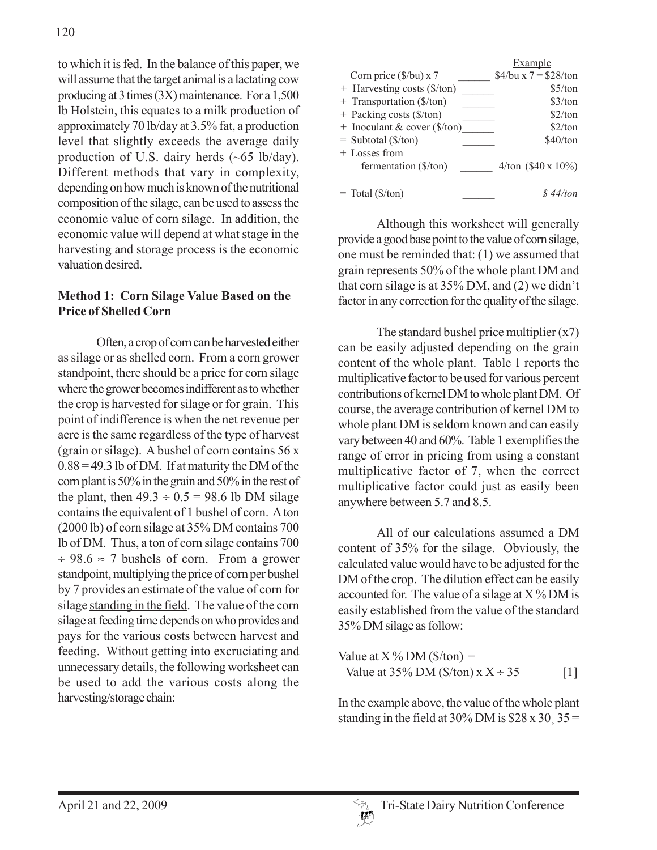to which it is fed. In the balance of this paper, we will assume that the target animal is a lactating cow producing at 3 times (3X) maintenance. For a 1,500 lb Holstein, this equates to a milk production of approximately 70 lb/day at 3.5% fat, a production level that slightly exceeds the average daily production of U.S. dairy herds (~65 lb/day). Different methods that vary in complexity, depending on how much is known of the nutritional composition of the silage, can be used to assess the economic value of corn silage. In addition, the economic value will depend at what stage in the harvesting and storage process is the economic valuation desired.

## **Method 1: Corn Silage Value Based on the Price of Shelled Corn**

Often, a crop of corn can be harvested either as silage or as shelled corn. From a corn grower standpoint, there should be a price for corn silage where the grower becomes indifferent as to whether the crop is harvested for silage or for grain. This point of indifference is when the net revenue per acre is the same regardless of the type of harvest (grain or silage). A bushel of corn contains 56 x  $0.88 = 49.3$  lb of DM. If at maturity the DM of the corn plant is 50% in the grain and 50% in the rest of the plant, then  $49.3 \div 0.5 = 98.6$  lb DM silage contains the equivalent of 1 bushel of corn. A ton (2000 lb) of corn silage at 35% DM contains 700 lb of DM. Thus, a ton of corn silage contains 700  $\div$  98.6  $\approx$  7 bushels of corn. From a grower standpoint, multiplying the price of corn per bushel by 7 provides an estimate of the value of corn for silage standing in the field. The value of the corn silage at feeding time depends on who provides and pays for the various costs between harvest and feeding. Without getting into excruciating and unnecessary details, the following worksheet can be used to add the various costs along the harvesting/storage chain:

|                                              | Example                    |
|----------------------------------------------|----------------------------|
| Corn price (\$/bu) x 7                       | $$4/bu \times 7 = $28/ton$ |
| + Harvesting costs (\$/ton)                  | \$5/ton                    |
| + Transportation (\$/ton)                    | \$3/ton                    |
| + Packing costs (\$/ton)                     | \$2/ton                    |
| $+$ Inoculant & cover (\$/ton)               | \$2/ton                    |
| $=$ Subtotal ( $\frac{\sqrt{2}}{\sqrt{2}}$ ) | \$40/ton                   |
| + Losses from                                |                            |
| fermentation (\$/ton)                        | $4/ton$ (\$40 x 10%)       |
|                                              |                            |
| $=$ Total (\$/ton)                           | $\frac{8}{44}$ 44/ton      |

Although this worksheet will generally provide a good base point to the value of corn silage, one must be reminded that: (1) we assumed that grain represents 50% of the whole plant DM and that corn silage is at 35% DM, and (2) we didn't factor in any correction for the quality of the silage.

The standard bushel price multiplier  $(x7)$ can be easily adjusted depending on the grain content of the whole plant. Table 1 reports the multiplicative factor to be used for various percent contributions of kernel DM to whole plant DM. Of course, the average contribution of kernel DM to whole plant DM is seldom known and can easily vary between 40 and 60%. Table 1 exemplifies the range of error in pricing from using a constant multiplicative factor of 7, when the correct multiplicative factor could just as easily been anywhere between 5.7 and 8.5.

All of our calculations assumed a DM content of 35% for the silage. Obviously, the calculated value would have to be adjusted for the DM of the crop. The dilution effect can be easily accounted for. The value of a silage at  $X$ % DM is easily established from the value of the standard 35% DM silage as follow:

Value at X % DM (\$/ton) = Value at 35% DM (\$/ton) x X ÷ 35 [1]

In the example above, the value of the whole plant standing in the field at 30% DM is  $$28 \times 30$ ,  $35 =$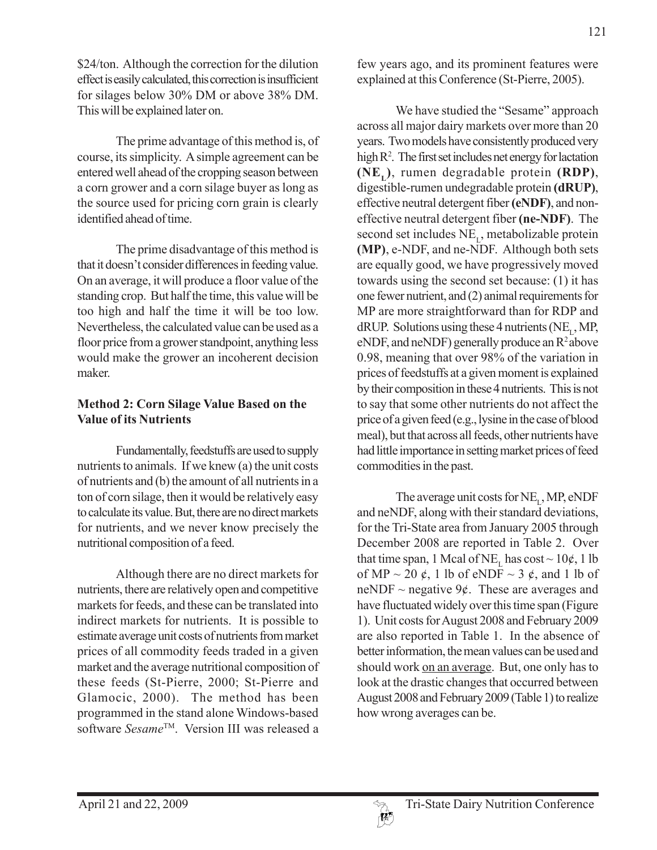\$24/ton. Although the correction for the dilution effect is easily calculated, this correction is insufficient for silages below 30% DM or above 38% DM. This will be explained later on.

The prime advantage of this method is, of course, its simplicity. A simple agreement can be entered well ahead of the cropping season between a corn grower and a corn silage buyer as long as the source used for pricing corn grain is clearly identified ahead of time.

The prime disadvantage of this method is that it doesn't consider differences in feeding value. On an average, it will produce a floor value of the standing crop. But half the time, this value will be too high and half the time it will be too low. Nevertheless, the calculated value can be used as a floor price from a grower standpoint, anything less would make the grower an incoherent decision maker.

## **Method 2: Corn Silage Value Based on the Value of its Nutrients**

Fundamentally, feedstuffs are used to supply nutrients to animals. If we knew (a) the unit costs of nutrients and (b) the amount of all nutrients in a ton of corn silage, then it would be relatively easy to calculate its value. But, there are no direct markets for nutrients, and we never know precisely the nutritional composition of a feed.

Although there are no direct markets for nutrients, there are relatively open and competitive markets for feeds, and these can be translated into indirect markets for nutrients. It is possible to estimate average unit costs of nutrients from market prices of all commodity feeds traded in a given market and the average nutritional composition of these feeds (St-Pierre, 2000; St-Pierre and Glamocic, 2000). The method has been programmed in the stand alone Windows-based software *Sesame*TM. Version III was released a

few years ago, and its prominent features were explained at this Conference (St-Pierre, 2005).

We have studied the "Sesame" approach across all major dairy markets over more than 20 years. Two models have consistently produced very high R<sup>2</sup>. The first set includes net energy for lactation **(NEL)**, rumen degradable protein **(RDP)**, digestible-rumen undegradable protein **(dRUP)**, effective neutral detergent fiber **(eNDF)**, and noneffective neutral detergent fiber **(ne-NDF)**. The second set includes NE<sub>1</sub>, metabolizable protein **(MP)**, e-NDF, and ne-NDF. Although both sets are equally good, we have progressively moved towards using the second set because: (1) it has one fewer nutrient, and (2) animal requirements for MP are more straightforward than for RDP and  $dRUP$ . Solutions using these 4 nutrients (NE, MP, eNDF, and neNDF) generally produce an  $R^2$ above 0.98, meaning that over 98% of the variation in prices of feedstuffs at a given moment is explained by their composition in these 4 nutrients. This is not to say that some other nutrients do not affect the price of a given feed (e.g., lysine in the case of blood meal), but that across all feeds, other nutrients have had little importance in setting market prices of feed commodities in the past.

The average unit costs for  $NE_{1}$ , MP, eNDF and neNDF, along with their standard deviations, for the Tri-State area from January 2005 through December 2008 are reported in Table 2. Over that time span, 1 Mcal of NE<sub>L</sub> has  $cost \sim 10¢$ , 1 lb of MP  $\sim$  20  $\ell$ , 1 lb of eNDF  $\sim$  3  $\ell$ , and 1 lb of neNDF  $\sim$  negative 9¢. These are averages and have fluctuated widely over this time span (Figure 1). Unit costs for August 2008 and February 2009 are also reported in Table 1. In the absence of better information, the mean values can be used and should work on an average. But, one only has to look at the drastic changes that occurred between August 2008 and February 2009 (Table 1) to realize how wrong averages can be.

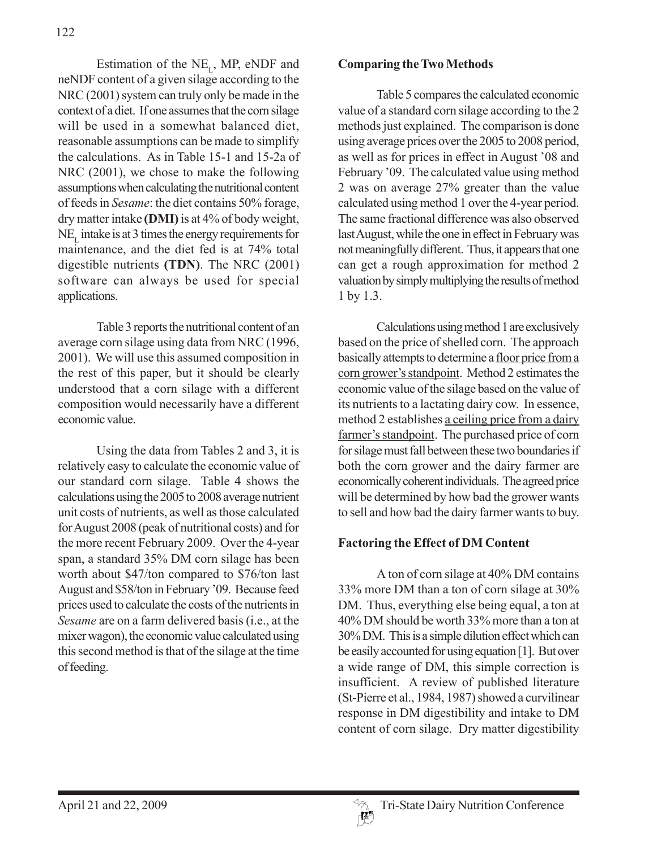Estimation of the  $NE_{L}$ , MP, eNDF and neNDF content of a given silage according to the NRC (2001) system can truly only be made in the context of a diet. If one assumes that the corn silage will be used in a somewhat balanced diet, reasonable assumptions can be made to simplify the calculations. As in Table 15-1 and 15-2a of NRC (2001), we chose to make the following assumptions when calculating the nutritional content of feeds in *Sesame*: the diet contains 50% forage, dry matter intake **(DMI)** is at 4% of body weight,  $NE<sub>r</sub>$  intake is at 3 times the energy requirements for maintenance, and the diet fed is at 74% total digestible nutrients **(TDN)**. The NRC (2001) software can always be used for special applications.

Table 3 reports the nutritional content of an average corn silage using data from NRC (1996, 2001). We will use this assumed composition in the rest of this paper, but it should be clearly understood that a corn silage with a different composition would necessarily have a different economic value.

Using the data from Tables 2 and 3, it is relatively easy to calculate the economic value of our standard corn silage. Table 4 shows the calculations using the 2005 to 2008 average nutrient unit costs of nutrients, as well as those calculated for August 2008 (peak of nutritional costs) and for the more recent February 2009. Over the 4-year span, a standard 35% DM corn silage has been worth about \$47/ton compared to \$76/ton last August and \$58/ton in February '09. Because feed prices used to calculate the costs of the nutrients in *Sesame* are on a farm delivered basis (i.e., at the mixer wagon), the economic value calculated using this second method is that of the silage at the time of feeding.

#### **Comparing the Two Methods**

Table 5 compares the calculated economic value of a standard corn silage according to the 2 methods just explained. The comparison is done using average prices over the 2005 to 2008 period, as well as for prices in effect in August '08 and February '09. The calculated value using method 2 was on average 27% greater than the value calculated using method 1 over the 4-year period. The same fractional difference was also observed last August, while the one in effect in February was not meaningfully different. Thus, it appears that one can get a rough approximation for method 2 valuation by simply multiplying the results of method 1 by 1.3.

Calculations using method 1 are exclusively based on the price of shelled corn. The approach basically attempts to determine a floor price from a corn grower's standpoint. Method 2 estimates the economic value of the silage based on the value of its nutrients to a lactating dairy cow. In essence, method 2 establishes a ceiling price from a dairy farmer's standpoint. The purchased price of corn for silage must fall between these two boundaries if both the corn grower and the dairy farmer are economically coherent individuals. The agreed price will be determined by how bad the grower wants to sell and how bad the dairy farmer wants to buy.

## **Factoring the Effect of DM Content**

A ton of corn silage at 40% DM contains 33% more DM than a ton of corn silage at 30% DM. Thus, everything else being equal, a ton at 40% DM should be worth 33% more than a ton at 30% DM. This is a simple dilution effect which can be easily accounted for using equation [1]. But over a wide range of DM, this simple correction is insufficient. A review of published literature (St-Pierre et al., 1984, 1987) showed a curvilinear response in DM digestibility and intake to DM content of corn silage. Dry matter digestibility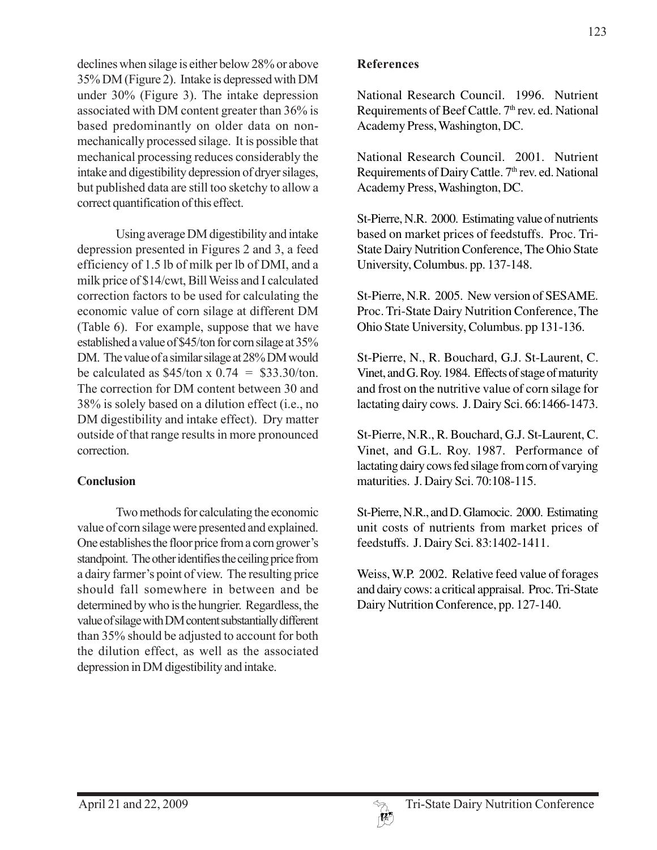declines when silage is either below 28% or above 35% DM (Figure 2). Intake is depressed with DM under 30% (Figure 3). The intake depression associated with DM content greater than 36% is based predominantly on older data on nonmechanically processed silage. It is possible that mechanical processing reduces considerably the intake and digestibility depression of dryer silages, but published data are still too sketchy to allow a correct quantification of this effect.

Using average DM digestibility and intake depression presented in Figures 2 and 3, a feed efficiency of 1.5 lb of milk per lb of DMI, and a milk price of \$14/cwt, Bill Weiss and I calculated correction factors to be used for calculating the economic value of corn silage at different DM (Table 6). For example, suppose that we have established a value of \$45/ton for corn silage at 35% DM. The value of a similar silage at 28% DM would be calculated as  $$45/ton \times 0.74 = $33.30/ton.$ The correction for DM content between 30 and 38% is solely based on a dilution effect (i.e., no DM digestibility and intake effect). Dry matter outside of that range results in more pronounced correction.

#### **Conclusion**

Two methods for calculating the economic value of corn silage were presented and explained. One establishes the floor price from a corn grower's standpoint. The other identifies the ceiling price from a dairy farmer's point of view. The resulting price should fall somewhere in between and be determined by who is the hungrier. Regardless, the value of silage with DM content substantially different than 35% should be adjusted to account for both the dilution effect, as well as the associated depression in DM digestibility and intake.

#### **References**

National Research Council. 1996. Nutrient Requirements of Beef Cattle. 7<sup>th</sup> rev. ed. National Academy Press, Washington, DC.

National Research Council. 2001. Nutrient Requirements of Dairy Cattle. 7<sup>th</sup> rev. ed. National Academy Press, Washington, DC.

St-Pierre, N.R. 2000. Estimating value of nutrients based on market prices of feedstuffs. Proc. Tri-State Dairy Nutrition Conference, The Ohio State University, Columbus. pp. 137-148.

St-Pierre, N.R. 2005. New version of SESAME. Proc. Tri-State Dairy Nutrition Conference, The Ohio State University, Columbus. pp 131-136.

St-Pierre, N., R. Bouchard, G.J. St-Laurent, C. Vinet, and G. Roy. 1984. Effects of stage of maturity and frost on the nutritive value of corn silage for lactating dairy cows. J. Dairy Sci. 66:1466-1473.

St-Pierre, N.R., R. Bouchard, G.J. St-Laurent, C. Vinet, and G.L. Roy. 1987. Performance of lactating dairy cows fed silage from corn of varying maturities. J. Dairy Sci. 70:108-115.

St-Pierre, N.R., and D. Glamocic. 2000. Estimating unit costs of nutrients from market prices of feedstuffs. J. Dairy Sci. 83:1402-1411.

Weiss, W.P. 2002. Relative feed value of forages and dairy cows: a critical appraisal. Proc. Tri-State Dairy Nutrition Conference, pp. 127-140.

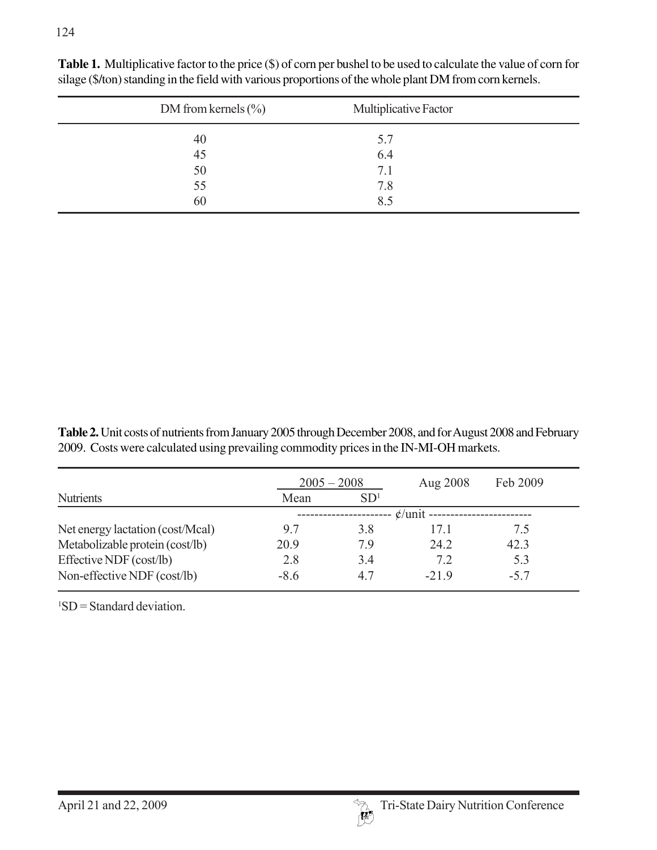| DM from kernels $(\%$ | Multiplicative Factor |
|-----------------------|-----------------------|
| $\frac{40}{45}$       | 5.7                   |
|                       | 6.4                   |
| 50                    | 7.1                   |
| 55                    | 7.8                   |
| 60                    | 8.5                   |

**Table 1.** Multiplicative factor to the price (\$) of corn per bushel to be used to calculate the value of corn for silage (\$/ton) standing in the field with various proportions of the whole plant DM from corn kernels.

**Table 2.** Unit costs of nutrients from January 2005 through December 2008, and for August 2008 and February 2009. Costs were calculated using prevailing commodity prices in the IN-MI-OH markets.

|                                  | $2005 - 2008$           |                          | Aug 2008 | Feb 2009 |  |  |
|----------------------------------|-------------------------|--------------------------|----------|----------|--|--|
| <b>Nutrients</b>                 | SD <sup>1</sup><br>Mean |                          |          |          |  |  |
|                                  |                         | $\mathcal{L}/$ unit ---- |          |          |  |  |
| Net energy lactation (cost/Mcal) | 9.7                     | 3.8                      | 171      | 75       |  |  |
| Metabolizable protein (cost/lb)  | 20.9                    | 79                       | 24.2     | 42.3     |  |  |
| Effective NDF (cost/lb)          | 2.8                     | 3.4                      | 7.2      | 5.3      |  |  |
| Non-effective NDF (cost/lb)      | $-8.6$                  | 4.7                      | $-219$   | $-5.7$   |  |  |

1 SD = Standard deviation.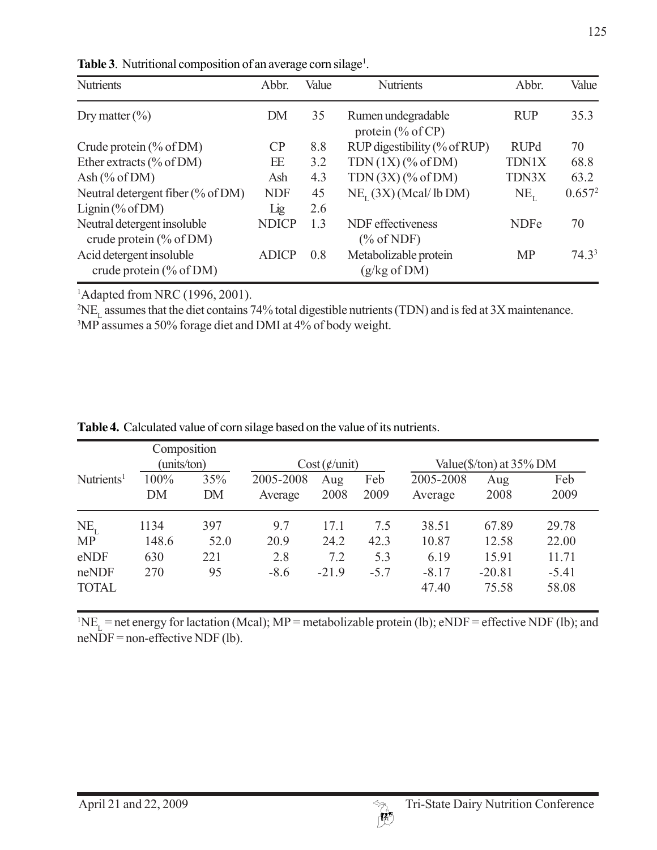| <b>Nutrients</b>                                          | Abbr.        | Value | <b>Nutrients</b>                                 | Abbr.        | Value              |
|-----------------------------------------------------------|--------------|-------|--------------------------------------------------|--------------|--------------------|
| Dry matter $(\% )$                                        | DM           | 35    | Rumen undegradable<br>protein $(\%$ of CP)       | <b>RUP</b>   | 35.3               |
| Crude protein $(\%$ of DM)                                | CP           | 8.8   | RUP digestibility (% of RUP)                     | <b>RUPd</b>  | 70                 |
| Ether extracts $(\% \text{ of DM})$                       | EE           | 3.2   | $TDN(1X)$ (% of DM)                              | <b>TDN1X</b> | 68.8               |
| Ash $(\%$ of DM)                                          | Ash          | 4.3   | $TDN(3X)$ (% of DM)                              | TDN3X        | 63.2               |
| Neutral detergent fiber $(\% \text{ of DM})$              | <b>NDF</b>   | 45    | $NE_{\tau}$ (3X) (Mcal/lb DM)                    | $NE_{1}$     | 0.657 <sup>2</sup> |
| Lignin $(\%$ of DM)                                       | Lig          | 2.6   |                                                  |              |                    |
| Neutral detergent insoluble<br>crude protein $(\%$ of DM) | <b>NDICP</b> | 1.3   | NDF effectiveness<br>$(\% \text{ of NDF})$       | <b>NDFe</b>  | 70                 |
| Acid detergent insoluble<br>crude protein $(\%$ of DM)    | <b>ADICP</b> | 0.8   | Metabolizable protein<br>$(g/kg \text{ of } DM)$ | <b>MP</b>    | $74.3^3$           |

Table 3. Nutritional composition of an average corn silage<sup>1</sup>.

1 Adapted from NRC (1996, 2001).

 ${}^{2}NE_{L}$  assumes that the diet contains 74% total digestible nutrients (TDN) and is fed at 3X maintenance.

3 MP assumes a 50% forage diet and DMI at 4% of body weight.

|                        | Composition |           |                       |             |             |                                             |                   |                  |
|------------------------|-------------|-----------|-----------------------|-------------|-------------|---------------------------------------------|-------------------|------------------|
|                        | (units/ton) |           | Cost( <i>¢</i> /unit) |             |             | Value( $\frac{\sqrt{2}}{2}$ /ton) at 35% DM |                   |                  |
| Nutrients <sup>1</sup> | 100%<br>DM  | 35%<br>DM | 2005-2008<br>Average  | Aug<br>2008 | Feb<br>2009 | 2005-2008<br>Average                        | Aug<br>2008       | Feb<br>2009      |
| $NE_{I}$               | 1134        | 397       | 9.7                   | 17.1        | 7.5         | 38.51                                       | 67.89             | 29.78            |
| <b>MP</b>              | 148.6       | 52.0      | 20.9                  | 24.2        | 42.3        | 10.87                                       | 12.58             | 22.00            |
| eNDF                   | 630         | 221       | 2.8                   | 7.2         | 5.3         | 6.19                                        | 15.91             | 11.71            |
| neNDF<br><b>TOTAL</b>  | 270         | 95        | $-8.6$                | $-21.9$     | $-5.7$      | $-8.17$<br>47.40                            | $-20.81$<br>75.58 | $-5.41$<br>58.08 |

**Table 4.** Calculated value of corn silage based on the value of its nutrients.

 ${}^{1}NE_{L}$  = net energy for lactation (Mcal); MP = metabolizable protein (lb); eNDF = effective NDF (lb); and  $neNDF = non-effective NDF (lb).$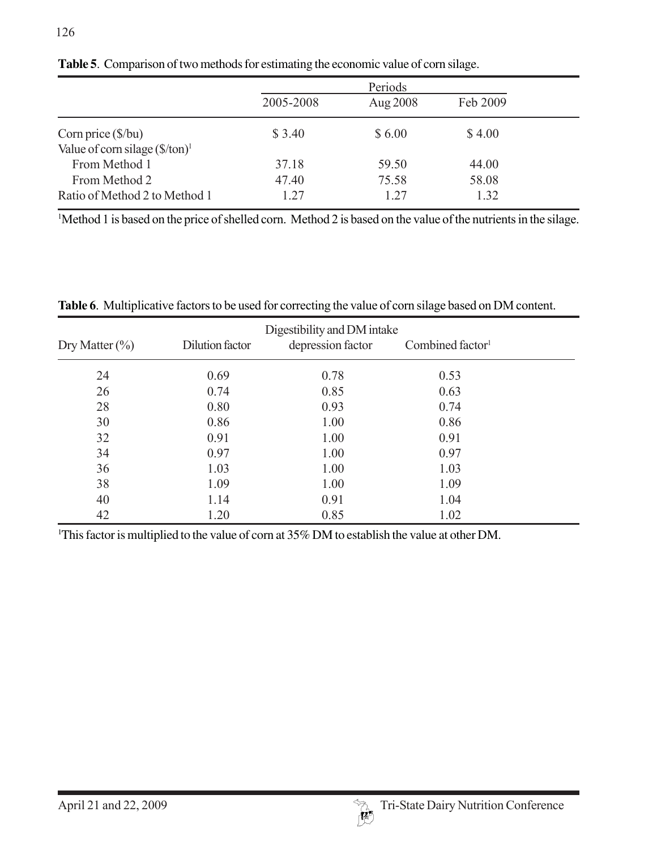|                                                   | Periods   |          |          |
|---------------------------------------------------|-----------|----------|----------|
|                                                   | 2005-2008 | Aug 2008 | Feb 2009 |
| Corn price $(\frac{6}{bu})$                       | \$ 3.40   | \$6.00   | \$4.00   |
| Value of corn silage $(\frac{f}{f} \cdot \tan)^1$ |           |          |          |
| From Method 1                                     | 37.18     | 59.50    | 44.00    |
| From Method 2                                     | 47.40     | 75.58    | 58.08    |
| Ratio of Method 2 to Method 1                     | 1.27      | 1.27     | 1.32     |

**Table 5**. Comparison of two methods for estimating the economic value of corn silage.

1 Method 1 is based on the price of shelled corn. Method 2 is based on the value of the nutrients in the silage.

|                    |                 | Digestibility and DM intake |                              |  |
|--------------------|-----------------|-----------------------------|------------------------------|--|
| Dry Matter $(\% )$ | Dilution factor | depression factor           | Combined factor <sup>1</sup> |  |
| 24                 | 0.69            | 0.78                        | 0.53                         |  |
| 26                 | 0.74            | 0.85                        | 0.63                         |  |
| 28                 | 0.80            | 0.93                        | 0.74                         |  |
| 30                 | 0.86            | 1.00                        | 0.86                         |  |
| 32                 | 0.91            | 1.00                        | 0.91                         |  |
| 34                 | 0.97            | 1.00                        | 0.97                         |  |
| 36                 | 1.03            | 1.00                        | 1.03                         |  |
| 38                 | 1.09            | 1.00                        | 1.09                         |  |
| 40                 | 1.14            | 0.91                        | 1.04                         |  |
| 42                 | 1.20            | 0.85                        | 1.02                         |  |

**Table 6**. Multiplicative factors to be used for correcting the value of corn silage based on DM content.

<sup>1</sup>This factor is multiplied to the value of corn at 35% DM to establish the value at other DM.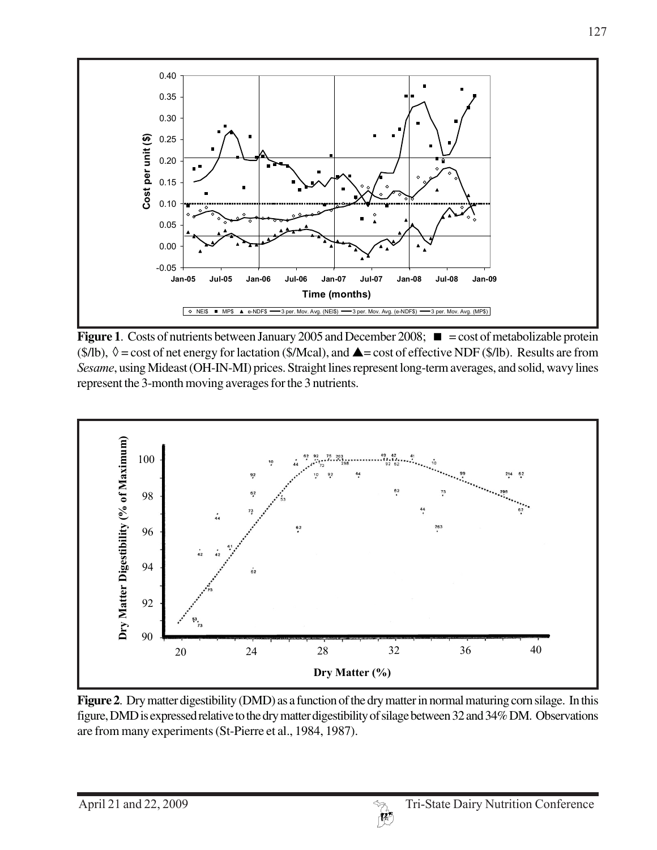

**Figure 1.** Costs of nutrients between January 2005 and December 2008;  $\blacksquare$  = cost of metabolizable protein  $(\frac{\pi}{6})$ ,  $\Diamond$  = cost of net energy for lactation ( $\frac{\pi}{6}$ ), and  $\triangle$  = cost of effective NDF ( $\frac{\pi}{6}$ /lb). Results are from *Sesame*, using Mideast (OH-IN-MI) prices. Straight lines represent long-term averages, and solid, wavy lines represent the 3-month moving averages for the 3 nutrients.



**Figure 2**. Dry matter digestibility (DMD) as a function of the dry matter in normal maturing corn silage. In this figure, DMD is expressed relative to the dry matter digestibility of silage between 32 and 34% DM. Observations are from many experiments (St-Pierre et al., 1984, 1987).